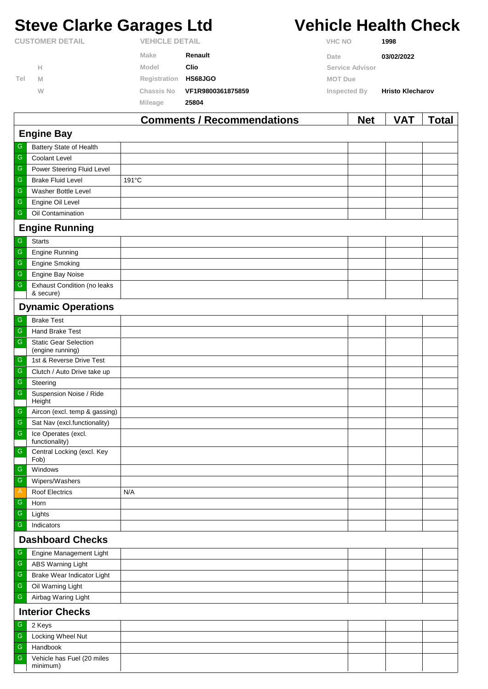# **Steve Clarke Garages Ltd Vehicle Health Check**

|                        |   |                   | Commonto / Decommondational | <b>NAL</b>      | 17 A T<br>Taial         |
|------------------------|---|-------------------|-----------------------------|-----------------|-------------------------|
|                        |   | Mileage           | 25804                       |                 |                         |
|                        | W | <b>Chassis No</b> | VF1R9800361875859           | Inspected By    | <b>Hristo Klecharov</b> |
| Tel                    | M | Registration      | <b>HS68JGO</b>              | <b>MOT Due</b>  |                         |
|                        | Н | Model             | Clio                        | Service Advisor |                         |
|                        |   | <b>Make</b>       | Renault                     | Date            | 03/02/2022              |
| <b>CUSTOMER DETAIL</b> |   |                   | <b>VEHICLE DETAIL</b>       |                 | 1998                    |

|                   |                                                  | <b>Comments / Recommendations</b> | <b>Net</b> | VAT | <u>Total</u> |  |  |  |
|-------------------|--------------------------------------------------|-----------------------------------|------------|-----|--------------|--|--|--|
| <b>Engine Bay</b> |                                                  |                                   |            |     |              |  |  |  |
| ${\mathbb G}$     | Battery State of Health                          |                                   |            |     |              |  |  |  |
| ${\mathbb G}$     | <b>Coolant Level</b>                             |                                   |            |     |              |  |  |  |
| ${\mathsf G}$     | Power Steering Fluid Level                       |                                   |            |     |              |  |  |  |
| G                 | <b>Brake Fluid Level</b>                         | 191°C                             |            |     |              |  |  |  |
| G                 | Washer Bottle Level                              |                                   |            |     |              |  |  |  |
| ${\mathbb G}$     | Engine Oil Level                                 |                                   |            |     |              |  |  |  |
| G                 | Oil Contamination                                |                                   |            |     |              |  |  |  |
|                   | <b>Engine Running</b>                            |                                   |            |     |              |  |  |  |
| ${\mathbb G}$     | <b>Starts</b>                                    |                                   |            |     |              |  |  |  |
| ${\mathsf G}$     | <b>Engine Running</b>                            |                                   |            |     |              |  |  |  |
| G                 | <b>Engine Smoking</b>                            |                                   |            |     |              |  |  |  |
| ${\mathsf G}$     | Engine Bay Noise                                 |                                   |            |     |              |  |  |  |
| ${\mathsf G}$     | <b>Exhaust Condition (no leaks</b><br>& secure)  |                                   |            |     |              |  |  |  |
|                   | <b>Dynamic Operations</b>                        |                                   |            |     |              |  |  |  |
| G                 | <b>Brake Test</b>                                |                                   |            |     |              |  |  |  |
| ${\mathsf G}$     | Hand Brake Test                                  |                                   |            |     |              |  |  |  |
| ${\mathsf G}$     | <b>Static Gear Selection</b><br>(engine running) |                                   |            |     |              |  |  |  |
| ${\mathsf G}$     | 1st & Reverse Drive Test                         |                                   |            |     |              |  |  |  |
| G                 | Clutch / Auto Drive take up                      |                                   |            |     |              |  |  |  |
| ${\mathsf G}$     | Steering                                         |                                   |            |     |              |  |  |  |
| $\mathsf G$       | Suspension Noise / Ride<br>Height                |                                   |            |     |              |  |  |  |
| ${\mathsf G}$     | Aircon (excl. temp & gassing)                    |                                   |            |     |              |  |  |  |
| ${\mathsf G}$     | Sat Nav (excl.functionality)                     |                                   |            |     |              |  |  |  |
| ${\mathsf G}$     | Ice Operates (excl.<br>functionality)            |                                   |            |     |              |  |  |  |
| $\mathsf G$       | Central Locking (excl. Key<br>Fob)               |                                   |            |     |              |  |  |  |
| $\mathsf G$       | Windows                                          |                                   |            |     |              |  |  |  |
| ${\mathsf G}$     | Wipers/Washers                                   |                                   |            |     |              |  |  |  |
| Α                 | <b>Roof Electrics</b>                            | N/A                               |            |     |              |  |  |  |
| ${\mathsf G}$     | Horn                                             |                                   |            |     |              |  |  |  |
| G                 | Lights                                           |                                   |            |     |              |  |  |  |
| ${\mathsf G}$     | Indicators                                       |                                   |            |     |              |  |  |  |
|                   | <b>Dashboard Checks</b>                          |                                   |            |     |              |  |  |  |
| ${\mathsf G}$     | Engine Management Light                          |                                   |            |     |              |  |  |  |
| G                 | ABS Warning Light                                |                                   |            |     |              |  |  |  |
| ${\mathsf G}$     | Brake Wear Indicator Light                       |                                   |            |     |              |  |  |  |
| ${\mathsf G}$     | Oil Warning Light                                |                                   |            |     |              |  |  |  |
| G                 | Airbag Waring Light                              |                                   |            |     |              |  |  |  |
|                   | <b>Interior Checks</b>                           |                                   |            |     |              |  |  |  |
| ${\mathsf G}$     | 2 Keys                                           |                                   |            |     |              |  |  |  |
| G                 | Locking Wheel Nut                                |                                   |            |     |              |  |  |  |
| G                 | Handbook                                         |                                   |            |     |              |  |  |  |
| ${\mathsf G}$     | Vehicle has Fuel (20 miles<br>minimum)           |                                   |            |     |              |  |  |  |